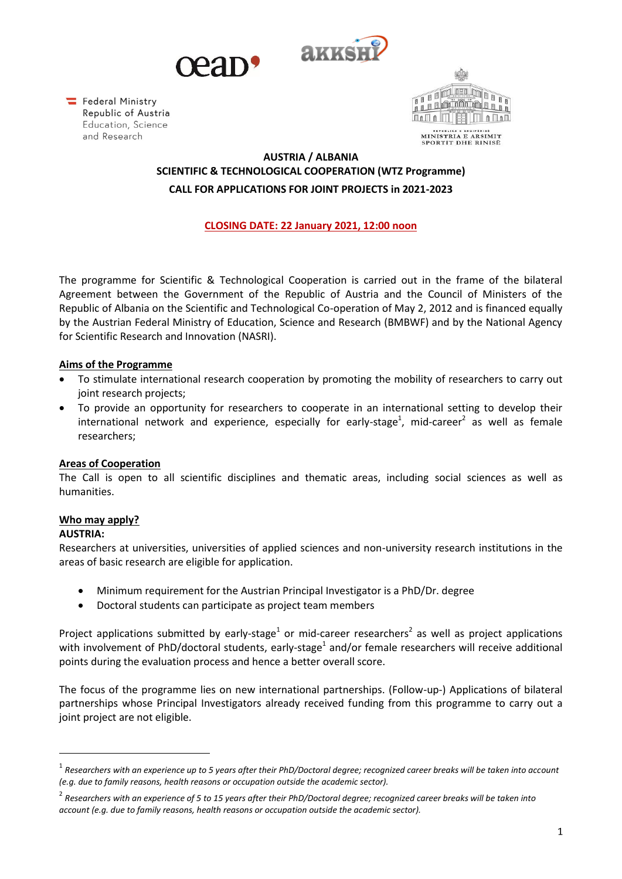



Federal Ministry Republic of Austria Education, Science and Research



# **AUSTRIA / ALBANIA SCIENTIFIC & TECHNOLOGICAL COOPERATION (WTZ Programme) CALL FOR APPLICATIONS FOR JOINT PROJECTS in 2021-2023**

# **CLOSING DATE: 22 January 2021, 12:00 noon**

The programme for Scientific & Technological Cooperation is carried out in the frame of the bilateral Agreement between the Government of the Republic of Austria and the Council of Ministers of the Republic of Albania on the Scientific and Technological Co-operation of May 2, 2012 and is financed equally by the Austrian Federal Ministry of Education, Science and Research (BMBWF) and by the National Agency for Scientific Research and Innovation (NASRI).

### **Aims of the Programme**

- To stimulate international research cooperation by promoting the mobility of researchers to carry out joint research projects;
- To provide an opportunity for researchers to cooperate in an international setting to develop their international network and experience, especially for early-stage<sup>1</sup>, mid-career<sup>2</sup> as well as female researchers;

#### **Areas of Cooperation**

The Call is open to all scientific disciplines and thematic areas, including social sciences as well as humanities.

### **Who may apply?**

#### **AUSTRIA:**

Researchers at universities, universities of applied sciences and non-university research institutions in the areas of basic research are eligible for application.

- Minimum requirement for the Austrian Principal Investigator is a PhD/Dr. degree
- Doctoral students can participate as project team members

Project applications submitted by early-stage<sup>1</sup> or mid-career researchers<sup>2</sup> as well as project applications with involvement of PhD/doctoral students, early-stage<sup>1</sup> and/or female researchers will receive additional points during the evaluation process and hence a better overall score.

The focus of the programme lies on new international partnerships. (Follow-up-) Applications of bilateral partnerships whose Principal Investigators already received funding from this programme to carry out a joint project are not eligible.

<sup>1</sup> *Researchers with an experience up to 5 years after their PhD/Doctoral degree; recognized career breaks will be taken into account (e.g. due to family reasons, health reasons or occupation outside the academic sector).*

<sup>2</sup> *Researchers with an experience of 5 to 15 years after their PhD/Doctoral degree; recognized career breaks will be taken into account (e.g. due to family reasons, health reasons or occupation outside the academic sector).*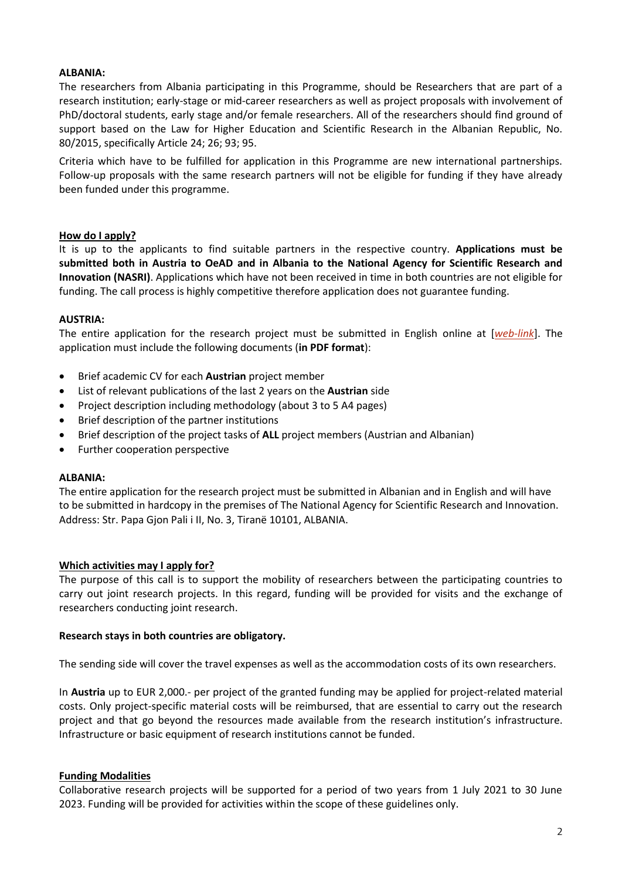### **ALBANIA:**

The researchers from Albania participating in this Programme, should be Researchers that are part of a research institution; early-stage or mid-career researchers as well as project proposals with involvement of PhD/doctoral students, early stage and/or female researchers. All of the researchers should find ground of support based on the Law for Higher Education and Scientific Research in the Albanian Republic, No. 80/2015, specifically Article 24; 26; 93; 95.

Criteria which have to be fulfilled for application in this Programme are new international partnerships. Follow-up proposals with the same research partners will not be eligible for funding if they have already been funded under this programme.

#### **How do I apply?**

It is up to the applicants to find suitable partners in the respective country. **Applications must be submitted both in Austria to OeAD and in Albania to the National Agency for Scientific Research and Innovation (NASRI)**. Applications which have not been received in time in both countries are not eligible for funding. The call process is highly competitive therefore application does not guarantee funding.

#### **AUSTRIA:**

The entire application for the research project must be submitted in English online at [*[web-link](https://asp.sop.co.at/oead/antrag?call=AL2021)*]. The application must include the following documents (**in PDF format**):

- Brief academic CV for each **Austrian** project member
- List of relevant publications of the last 2 years on the **Austrian** side
- Project description including methodology (about 3 to 5 A4 pages)
- Brief description of the partner institutions
- Brief description of the project tasks of **ALL** project members (Austrian and Albanian)
- Further cooperation perspective

#### **ALBANIA:**

The entire application for the research project must be submitted in Albanian and in English and will have to be submitted in hardcopy in the premises of The National Agency for Scientific Research and Innovation. Address: Str. Papa Gjon Pali i II, No. 3, Tiranë 10101, ALBANIA.

#### **Which activities may I apply for?**

The purpose of this call is to support the mobility of researchers between the participating countries to carry out joint research projects. In this regard, funding will be provided for visits and the exchange of researchers conducting joint research.

#### **Research stays in both countries are obligatory.**

The sending side will cover the travel expenses as well as the accommodation costs of its own researchers.

In **Austria** up to EUR 2,000.- per project of the granted funding may be applied for project-related material costs. Only project-specific material costs will be reimbursed, that are essential to carry out the research project and that go beyond the resources made available from the research institution's infrastructure. Infrastructure or basic equipment of research institutions cannot be funded.

#### **Funding Modalities**

Collaborative research projects will be supported for a period of two years from 1 July 2021 to 30 June 2023. Funding will be provided for activities within the scope of these guidelines only.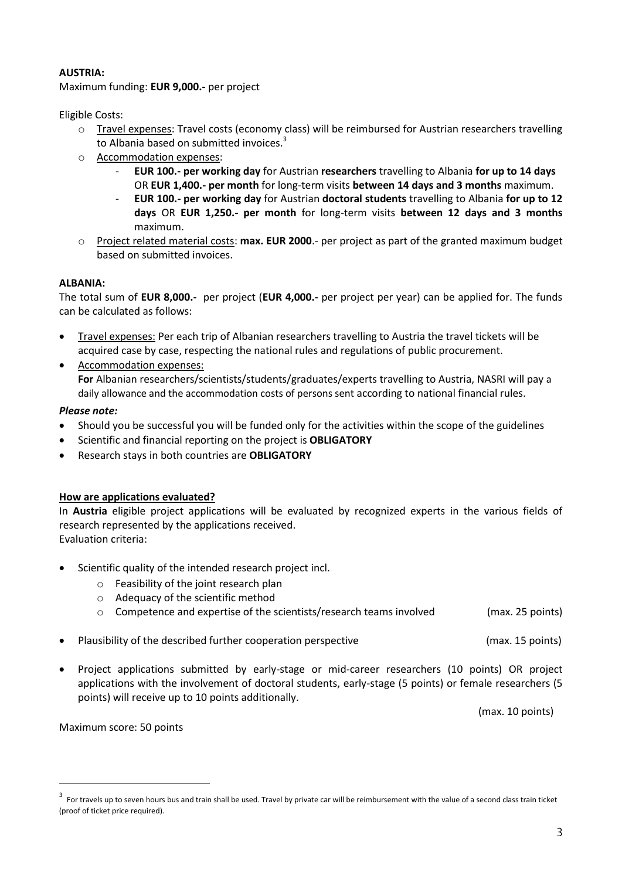### **AUSTRIA:**

Maximum funding: **EUR 9,000.-** per project

Eligible Costs:

- o Travel expenses: Travel costs (economy class) will be reimbursed for Austrian researchers travelling to Albania based on submitted invoices.<sup>3</sup>
- o Accommodation expenses:
	- **EUR 100.- per working day** for Austrian **researchers** travelling to Albania **for up to 14 days** OR **EUR 1,400.- per month** for long-term visits **between 14 days and 3 months** maximum.
	- **EUR 100.- per working day** for Austrian **doctoral students** travelling to Albania **for up to 12 days** OR **EUR 1,250.- per month** for long-term visits **between 12 days and 3 months** maximum.
- o Project related material costs: **max. EUR 2000**.- per project as part of the granted maximum budget based on submitted invoices.

### **ALBANIA:**

The total sum of **EUR 8,000.-** per project (**EUR 4,000.-** per project per year) can be applied for. The funds can be calculated as follows:

- Travel expenses: Per each trip of Albanian researchers travelling to Austria the travel tickets will be acquired case by case, respecting the national rules and regulations of public procurement.
- Accommodation expenses: **For** Albanian researchers/scientists/students/graduates/experts travelling to Austria, NASRI will pay a daily allowance and the accommodation costs of persons sent according to national financial rules.

# *Please note:*

- Should you be successful you will be funded only for the activities within the scope of the guidelines
- Scientific and financial reporting on the project is **OBLIGATORY**
- Research stays in both countries are **OBLIGATORY**

### **How are applications evaluated?**

In **Austria** eligible project applications will be evaluated by recognized experts in the various fields of research represented by the applications received. Evaluation criteria:

- Scientific quality of the intended research project incl.
	- o Feasibility of the joint research plan
	- o Adequacy of the scientific method
	- o Competence and expertise of the scientists/research teams involved (max. 25 points)
- Plausibility of the described further cooperation perspective entity and max. 15 points)
- Project applications submitted by early-stage or mid-career researchers (10 points) OR project applications with the involvement of doctoral students, early-stage (5 points) or female researchers (5 points) will receive up to 10 points additionally.

(max. 10 points)

Maximum score: 50 points

<sup>&</sup>lt;sup>3</sup> For travels up to seven hours bus and train shall be used. Travel by private car will be reimbursement with the value of a second class train ticket (proof of ticket price required).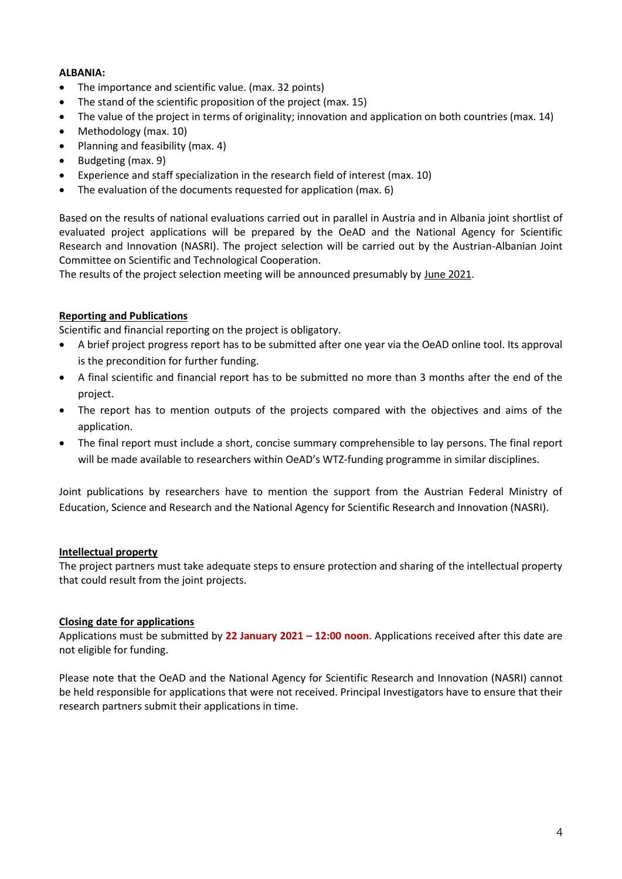### **ALBANIA:**

- The importance and scientific value. (max. 32 points)
- The stand of the scientific proposition of the project (max. 15)
- The value of the project in terms of originality; innovation and application on both countries (max. 14)
- Methodology (max. 10)
- Planning and feasibility (max. 4)
- $\bullet$  Budgeting (max. 9)
- Experience and staff specialization in the research field of interest (max. 10)
- The evaluation of the documents requested for application (max. 6)

Based on the results of national evaluations carried out in parallel in Austria and in Albania joint shortlist of evaluated project applications will be prepared by the OeAD and the National Agency for Scientific Research and Innovation (NASRI). The project selection will be carried out by the Austrian-Albanian Joint Committee on Scientific and Technological Cooperation.

The results of the project selection meeting will be announced presumably by June 2021.

### **Reporting and Publications**

Scientific and financial reporting on the project is obligatory.

- A brief project progress report has to be submitted after one year via the OeAD online tool. Its approval is the precondition for further funding.
- A final scientific and financial report has to be submitted no more than 3 months after the end of the project.
- The report has to mention outputs of the projects compared with the objectives and aims of the application.
- The final report must include a short, concise summary comprehensible to lay persons. The final report will be made available to researchers within OeAD's WTZ-funding programme in similar disciplines.

Joint publications by researchers have to mention the support from the Austrian Federal Ministry of Education, Science and Research and the National Agency for Scientific Research and Innovation (NASRI).

### **Intellectual property**

The project partners must take adequate steps to ensure protection and sharing of the intellectual property that could result from the joint projects.

#### **Closing date for applications**

Applications must be submitted by **22 January 2021 – 12:00 noon**. Applications received after this date are not eligible for funding.

Please note that the OeAD and the National Agency for Scientific Research and Innovation (NASRI) cannot be held responsible for applications that were not received. Principal Investigators have to ensure that their research partners submit their applications in time.